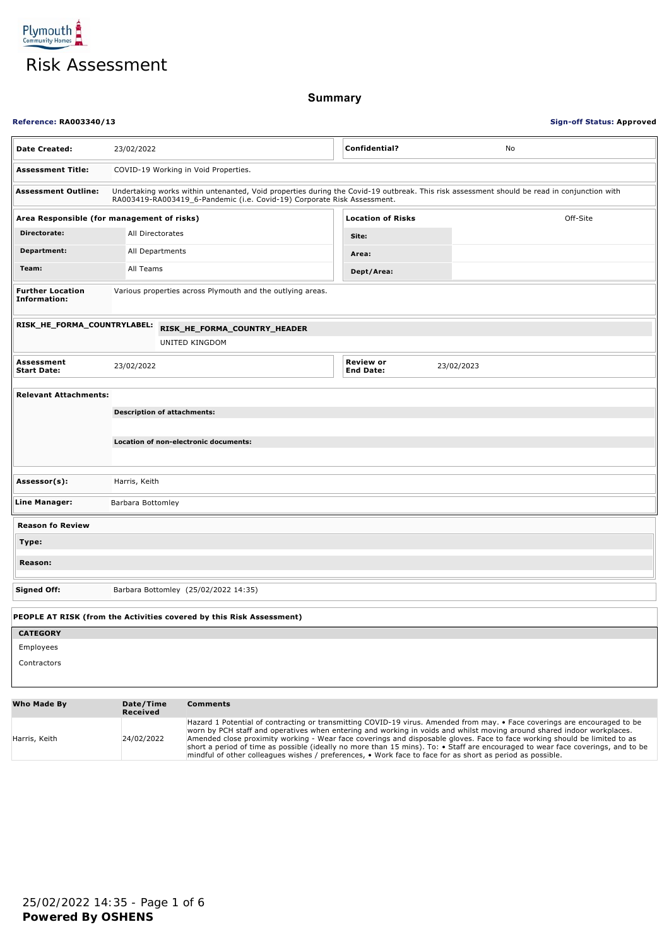

**Summary**

### **Reference: RA003340/13 Sign-off Status: Approved**

| <b>Date Created:</b>                                                 | 23/02/2022                                                                                                                                                                                                            |                                                            | Confidential?                 | No         |  |
|----------------------------------------------------------------------|-----------------------------------------------------------------------------------------------------------------------------------------------------------------------------------------------------------------------|------------------------------------------------------------|-------------------------------|------------|--|
| <b>Assessment Title:</b>                                             | COVID-19 Working in Void Properties.                                                                                                                                                                                  |                                                            |                               |            |  |
| <b>Assessment Outline:</b>                                           | Undertaking works within untenanted, Void properties during the Covid-19 outbreak. This risk assessment should be read in conjunction with<br>RA003419-RA003419_6-Pandemic (i.e. Covid-19) Corporate Risk Assessment. |                                                            |                               |            |  |
|                                                                      | Area Responsible (for management of risks)<br><b>Location of Risks</b><br>Off-Site                                                                                                                                    |                                                            |                               |            |  |
| Directorate:                                                         | All Directorates                                                                                                                                                                                                      |                                                            | Site:                         |            |  |
| Department:                                                          |                                                                                                                                                                                                                       | All Departments                                            | Area:                         |            |  |
| Team:                                                                | All Teams                                                                                                                                                                                                             |                                                            | Dept/Area:                    |            |  |
| <b>Further Location</b><br><b>Information:</b>                       |                                                                                                                                                                                                                       | Various properties across Plymouth and the outlying areas. |                               |            |  |
|                                                                      | RISK_HE_FORMA_COUNTRYLABEL:<br>RISK_HE_FORMA_COUNTRY_HEADER<br>UNITED KINGDOM                                                                                                                                         |                                                            |                               |            |  |
| Assessment<br><b>Start Date:</b>                                     | 23/02/2022                                                                                                                                                                                                            |                                                            | Review or<br><b>End Date:</b> | 23/02/2023 |  |
| <b>Relevant Attachments:</b>                                         |                                                                                                                                                                                                                       |                                                            |                               |            |  |
|                                                                      |                                                                                                                                                                                                                       | <b>Description of attachments:</b>                         |                               |            |  |
|                                                                      |                                                                                                                                                                                                                       |                                                            |                               |            |  |
|                                                                      |                                                                                                                                                                                                                       | Location of non-electronic documents:                      |                               |            |  |
|                                                                      |                                                                                                                                                                                                                       |                                                            |                               |            |  |
| Assessor(s):                                                         | Harris, Keith                                                                                                                                                                                                         |                                                            |                               |            |  |
| Line Manager:                                                        | Barbara Bottomley                                                                                                                                                                                                     |                                                            |                               |            |  |
| <b>Reason fo Review</b>                                              |                                                                                                                                                                                                                       |                                                            |                               |            |  |
| Type:                                                                |                                                                                                                                                                                                                       |                                                            |                               |            |  |
| Reason:                                                              |                                                                                                                                                                                                                       |                                                            |                               |            |  |
| <b>Signed Off:</b>                                                   |                                                                                                                                                                                                                       | Barbara Bottomley (25/02/2022 14:35)                       |                               |            |  |
| PEOPLE AT RISK (from the Activities covered by this Risk Assessment) |                                                                                                                                                                                                                       |                                                            |                               |            |  |
| <b>CATEGORY</b>                                                      |                                                                                                                                                                                                                       |                                                            |                               |            |  |
| Employees                                                            |                                                                                                                                                                                                                       |                                                            |                               |            |  |
| Contractors                                                          |                                                                                                                                                                                                                       |                                                            |                               |            |  |
| <b>Who Made By</b>                                                   | Date/Time                                                                                                                                                                                                             | <b>Comments</b>                                            |                               |            |  |

|               | Received   |                                                                                                                                                                                                                                                                                                                                                                                                                                                                                                                                                                                                                                          |
|---------------|------------|------------------------------------------------------------------------------------------------------------------------------------------------------------------------------------------------------------------------------------------------------------------------------------------------------------------------------------------------------------------------------------------------------------------------------------------------------------------------------------------------------------------------------------------------------------------------------------------------------------------------------------------|
| Harris, Keith | 24/02/2022 | Hazard 1 Potential of contracting or transmitting COVID-19 virus. Amended from may. • Face coverings are encouraged to be<br>worn by PCH staff and operatives when entering and working in voids and whilst moving around shared indoor workplaces.<br>Amended close proximity working - Wear face coverings and disposable gloves. Face to face working should be limited to as<br>short a period of time as possible (ideally no more than 15 mins). To: $\bullet$ Staff are encouraged to wear face coverings, and to be<br>mindful of other colleagues wishes / preferences, • Work face to face for as short as period as possible. |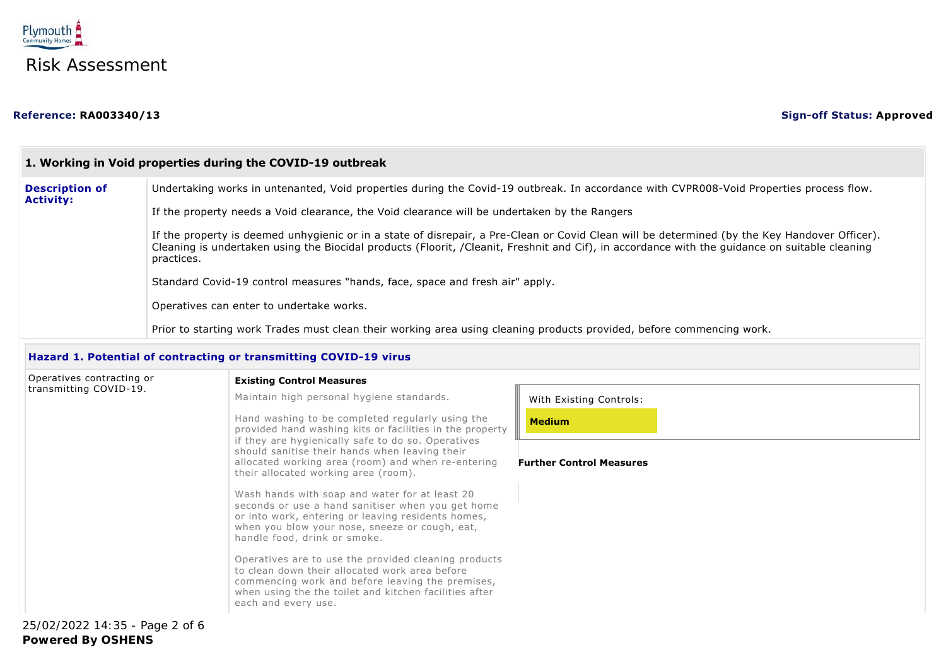

| 1. Working in Void properties during the COVID-19 outbreak                                                                                                                                                                                                                                                    |  |  |
|---------------------------------------------------------------------------------------------------------------------------------------------------------------------------------------------------------------------------------------------------------------------------------------------------------------|--|--|
| Undertaking works in untenanted, Void properties during the Covid-19 outbreak. In accordance with CVPR008-Void Properties process flow.                                                                                                                                                                       |  |  |
| If the property needs a Void clearance, the Void clearance will be undertaken by the Rangers                                                                                                                                                                                                                  |  |  |
| If the property is deemed unhygienic or in a state of disrepair, a Pre-Clean or Covid Clean will be determined (by the Key Handover Officer).<br>Cleaning is undertaken using the Biocidal products (Floorit, /Cleanit, Freshnit and Cif), in accordance with the guidance on suitable cleaning<br>practices. |  |  |
| Standard Covid-19 control measures "hands, face, space and fresh air" apply.                                                                                                                                                                                                                                  |  |  |
| Operatives can enter to undertake works.                                                                                                                                                                                                                                                                      |  |  |
| Prior to starting work Trades must clean their working area using cleaning products provided, before commencing work.                                                                                                                                                                                         |  |  |
|                                                                                                                                                                                                                                                                                                               |  |  |

## **Hazard 1. Potential of contracting or transmitting COVID-19 virus**

| Operatives contracting or      | <b>Existing Control Measures</b>                                                                                                                                                                                                            |                                 |
|--------------------------------|---------------------------------------------------------------------------------------------------------------------------------------------------------------------------------------------------------------------------------------------|---------------------------------|
| transmitting COVID-19.         | Maintain high personal hygiene standards.                                                                                                                                                                                                   | With Existing Controls:         |
|                                | Hand washing to be completed regularly using the<br>provided hand washing kits or facilities in the property                                                                                                                                | <b>Medium</b>                   |
|                                | if they are hygienically safe to do so. Operatives<br>should sanitise their hands when leaving their<br>allocated working area (room) and when re-entering<br>their allocated working area (room).                                          | <b>Further Control Measures</b> |
|                                | Wash hands with soap and water for at least 20<br>seconds or use a hand sanitiser when you get home<br>or into work, entering or leaving residents homes,<br>when you blow your nose, sneeze or cough, eat,<br>handle food, drink or smoke. |                                 |
|                                | Operatives are to use the provided cleaning products<br>to clean down their allocated work area before<br>commencing work and before leaving the premises,<br>when using the the toilet and kitchen facilities after<br>each and every use. |                                 |
| 25/02/2022 14:35 - Page 2 of 6 |                                                                                                                                                                                                                                             |                                 |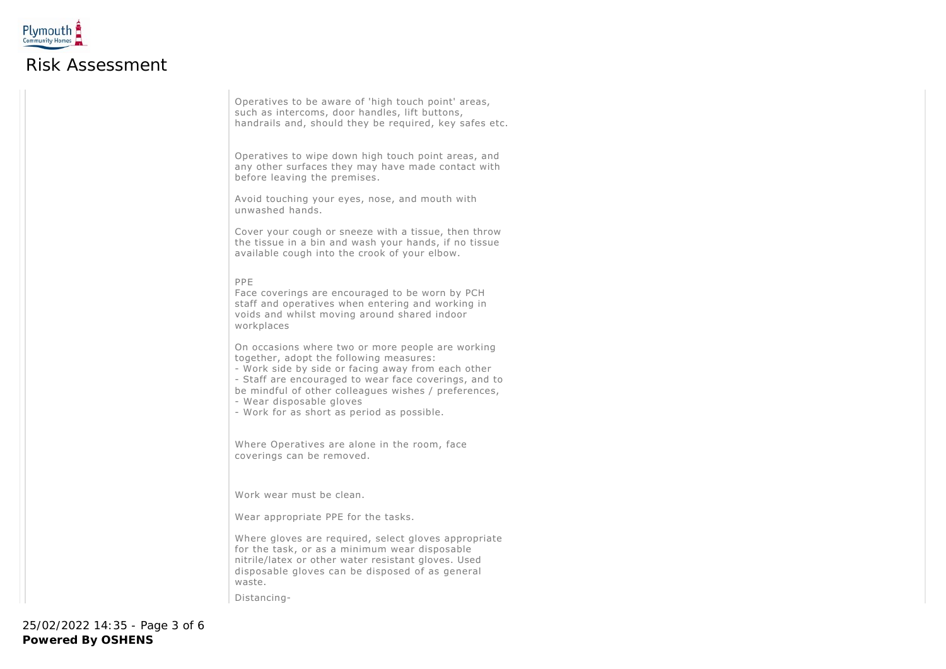

Operatives to be aware of 'high touch point' areas, such as intercoms, door handles, lift buttons, handrails and, should they be required, key safes etc.

Operatives to wipe down high touch point areas, and any other surfaces they may have made contact with before leaving the premises.

Avoid touching your eyes, nose, and mouth with unwashed hands.

Cover your cough or sneeze with a tissue, then throw the tissue in a bin and wash your hands, if no tissue available cough into the crook of your elbow.

#### PPE

Face coverings are encouraged to be worn by PCH staff and operatives when entering and working in voids and whilst moving around shared indoor workplaces

On occasions where two or more people are working together, adopt the following measures:

- Work side by side or facing away from each other - Staff are encouraged to wear face coverings, and to be mindful of other colleagues wishes / preferences, - Wear disposable gloves

- Work for as short as period as possible.

Where Operatives are alone in the room, face coverings can be removed.

Work wear must be clean.

Wear appropriate PPE for the tasks.

Where gloves are required, select gloves appropriate for the task, or as a minimum wear disposable nitrile/latex or other water resistant gloves. Used disposable gloves can be disposed of as general waste.

Distancing-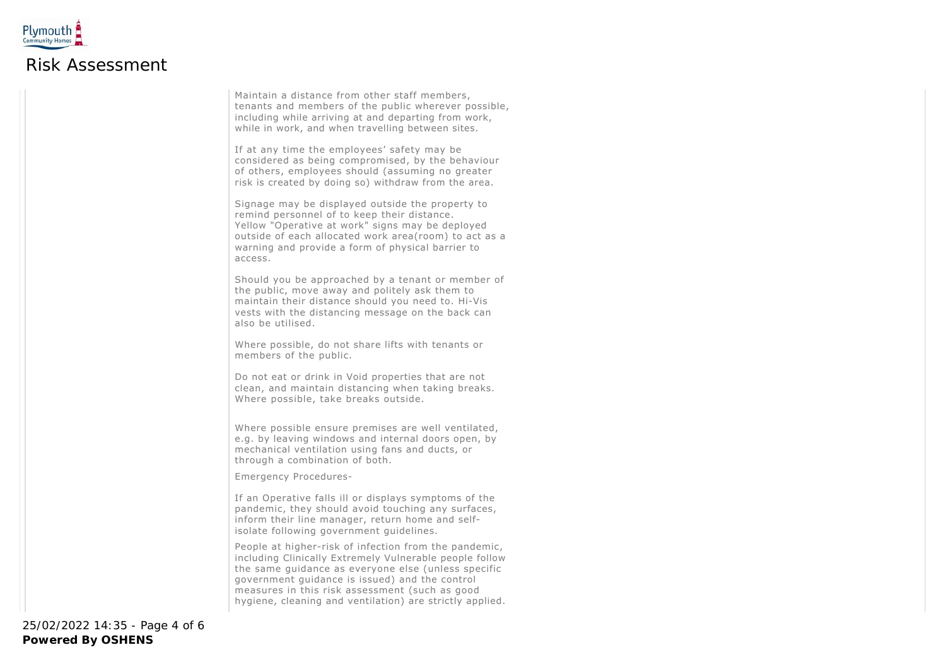

Maintain a distance from other staff members, tenants and members of the public wherever possible, including while arriving at and departing from work, while in work, and when travelling between sites.

If at any time the employees' safety may be considered as being compromised, by the behaviour of others, employees should (assuming no greater risk is created by doing so) withdraw from the area.

Signage may be displayed outside the property to remind personnel of to keep their distance. Yellow "Operative at work" signs may be deployed outside of each allocated work area(room) to act as a warning and provide a form of physical barrier to access.

Should you be approached by a tenant or member of the public, move away and politely ask them to maintain their distance should you need to. Hi-Vis vests with the distancing message on the back can also be utilised.

Where possible, do not share lifts with tenants or members of the public.

Do not eat or drink in Void properties that are not clean, and maintain distancing when taking breaks. Where possible, take breaks outside.

Where possible ensure premises are well ventilated, e.g. by leaving windows and internal doors open, by mechanical ventilation using fans and ducts, or through a combination of both.

Emergency Procedures-

If an Operative falls ill or displays symptoms of the pandemic, they should avoid touching any surfaces, inform their line manager, return home and selfisolate following government guidelines.

People at higher-risk of infection from the pandemic, including Clinically Extremely Vulnerable people follow the same guidance as everyone else (unless specific government guidance is issued) and the control measures in this risk assessment (such as good hygiene, cleaning and ventilation) are strictly applied.

**Powered By OSHENS** 25/02/2022 14:35 - Page 4 of 6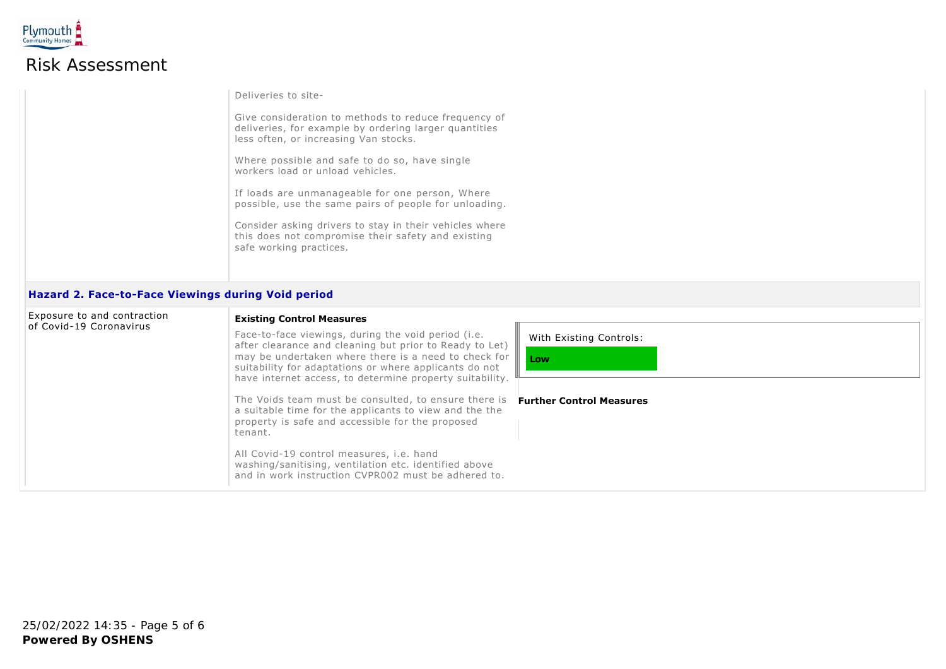

# Risk Assessment

| Deliveries to site-                                                                                                                                    |
|--------------------------------------------------------------------------------------------------------------------------------------------------------|
| Give consideration to methods to reduce frequency of<br>deliveries, for example by ordering larger quantities<br>less often, or increasing Van stocks. |
| Where possible and safe to do so, have single<br>workers load or unload vehicles.                                                                      |
| If loads are unmanageable for one person, Where<br>possible, use the same pairs of people for unloading.                                               |
| Consider asking drivers to stay in their vehicles where<br>this does not compromise their safety and existing<br>safe working practices.               |
|                                                                                                                                                        |

### **Hazard 2. Face-to-Face Viewings during Void period**

| Exposure to and contraction<br><b>Existing Control Measures</b><br>of Covid-19 Coronavirus |  |                                                                                                                                                                                                                                             |                                 |
|--------------------------------------------------------------------------------------------|--|---------------------------------------------------------------------------------------------------------------------------------------------------------------------------------------------------------------------------------------------|---------------------------------|
|                                                                                            |  | Face-to-face viewings, during the void period (i.e.<br>after clearance and cleaning but prior to Ready to Let)<br>may be undertaken where there is a need to check for $\ \ $ Low<br>suitability for adaptations or where applicants do not | With Existing Controls:         |
|                                                                                            |  | have internet access, to determine property suitability.<br>The Voids team must be consulted, to ensure there is<br>a suitable time for the applicants to view and the the<br>property is safe and accessible for the proposed<br>tenant.   | <b>Further Control Measures</b> |
|                                                                                            |  | All Covid-19 control measures, i.e. hand<br>washing/sanitising, ventilation etc. identified above<br>and in work instruction CVPR002 must be adhered to.                                                                                    |                                 |